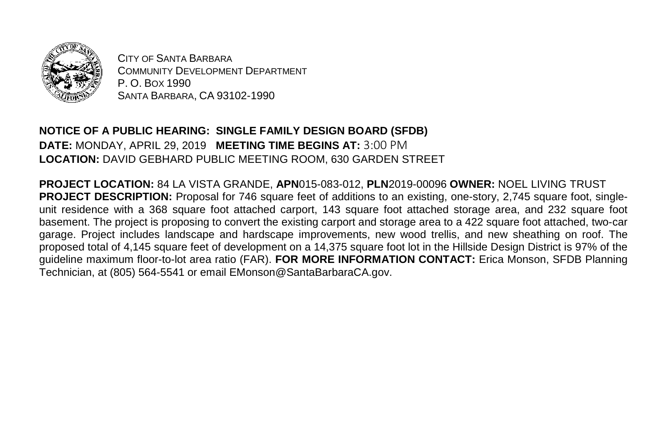

CITY OF SANTA BARBARA COMMUNITY DEVELOPMENT DEPARTMENT P. O. BOX 1990 SANTA BARBARA, CA 93102-1990

## **NOTICE OF A PUBLIC HEARING: SINGLE FAMILY DESIGN BOARD (SFDB) DATE:** MONDAY, APRIL 29, 2019 **MEETING TIME BEGINS AT:** 3:00 PM **LOCATION:** DAVID GEBHARD PUBLIC MEETING ROOM, 630 GARDEN STREET

**PROJECT LOCATION:** 84 LA VISTA GRANDE, **APN**015-083-012, **PLN**2019-00096 **OWNER:** NOEL LIVING TRUST **PROJECT DESCRIPTION:** Proposal for 746 square feet of additions to an existing, one-story, 2,745 square foot, singleunit residence with a 368 square foot attached carport, 143 square foot attached storage area, and 232 square foot basement. The project is proposing to convert the existing carport and storage area to a 422 square foot attached, two-car garage. Project includes landscape and hardscape improvements, new wood trellis, and new sheathing on roof. The proposed total of 4,145 square feet of development on a 14,375 square foot lot in the Hillside Design District is 97% of the guideline maximum floor-to-lot area ratio (FAR). **FOR MORE INFORMATION CONTACT:** Erica Monson, SFDB Planning Technician, at (805) 564-5541 or email EMonson@SantaBarbaraCA.gov.